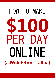# HOW TO MAKE **\$100** PER DAY ONLINE **(...With FREE Traffic!)**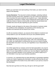## **Legal Disclaimer**

Before you scroll down and read anything in this Guide, you need to be fully aware of the following...

**Income Disclaimer:** This document contains strategies, marketing methods and other business advice that, regardless of my own results and experience, may not produce the same results (or any results) for you. I make absolutely no guarantee, expressed or implied, that by following the advice below you will make any money or improve current profits, as there are several factors and variables that come into play regarding any given business.

Primarily, results will depend on the nature of the product or business model, the conditions of the marketplace, the experience of the individual, and situations and elements that are beyond your control.

As with any business endeavor, you assume all risk related to investment and money based on your own discretion and at your own potential expense.

**Liability Disclaimer:** By reading this document, you assume all risks associated with using the advice given below, with a full understanding that you, solely, are responsible for anything that may occur as a result of putting this information into action in any way, and regardless of your interpretation of the advice.

You further agree that our company cannot be held responsible in any way for the success or failure of your business as a result of the information presented below. It's your responsibility to conduct your own due diligence regarding the safe and successful operation of your business if you intend to apply any of our information in any way to your business operations.

In summary, you understand that we make absolutely no guarantees regarding income as a result of applying this information, as well as the fact that you are solely responsible for the results of any action taken on your part as a result of this information.

Now that we've got that out of the way, let's get on with the good stuff!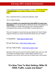## **Earning 100% Instant Commission**

If you implement the following strategies correctly. You will start earning a **GUARANTEED** Daily, Weekly & Monthly Income on a Consistent basis...

Now I Understand that is a pretty bold statement, right?

Yet it is highly Possible…

**Here is an another very important fact which MUST be acted upon immediately.** You see being able to effectively dig into this goldmine we need a program or system that's going to pay us instant profits or commissions that converts our free traffic in to daily cash for us.

Here are 3 programs I recommend you get started with. Each of these programs will pay you instant commissions directly into your PayPal.

- **1:** Easy5Now [Click here to learn more](http://easy5now.com/r/simkesrb/index.html)
- **2:** Auto Pilot Cash– [Click here to learn more](https://zoransimovic.com/AutoPilotCash/)
- **3:** Free Traffic Profits [Click here to learn more](https://warriorplus.com/o2/a/wqjfz/0/guide)

Because of the low entry point into these programs they work very well as a feeder and starter program, which makes it easier for your prospects to join and for you to earn lots of instant cash in the process.

## **"It's Now Time To Start Getting 1000s Of FREE Traffic, Leads and Sales!"**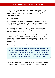## **There's Never Been a Better Time**

It's well over a decade since viral mailers took the Internet Marketing scene by storm. Once considered an essential weapon in every Internet marketer's arsenal, they're now viewed by many as a slightly embarrassing footnote.

Well, that's their loss.

Because, despite their critics, the email exchange business model is alive and well. In fact, I would go so far as to say that there's never been a better time to add these programs to your marketing mix.

Viral mailers, in particular have come on leaps and bounds over the last few years and have developed a level of sophistication that makes them more effective than ever before.

And, because many of the casual online marketers (by which I mean the time-wasters that treat online business as a hobby, rather than a serious venture) have moved on to other less reputable biz-ops, the viral mailer community has become more advanced and forward-thinking than you might imagine.

The fact is, if you use them correctly, viral mailers work!

A Viral Mailer is similar to a safelist but places limitations on the frequency with which emails can be sent, and sometimes limits the proportion of the member base that can be contacted. Additional modifications abound. A common twist is to provide members with credits for clicking on the links inside members' emails.

Here are four reasons why you should ignore the naysayers and invest a small amount of time into learning how to use viral mailers effectively: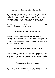#### **You get email access to the other members.**

Yes, I know that much is obvious, but don't take for granted the power that gives you. Traffic exchanges, for example, only allow you to show your website to those members that take the time to surf. In contrast, viral mailers allow you to reach people while they're doing what everybody does, usually multiple times a day… checking emails.

Viral Mailers give you a route directly into every member's inbox and that provides an incredibly powerful opportunity.

#### **It's easy to test multiple campaigns.**

Setting up new splash pages and WordPress sites is very timeconsuming. But because viral mailers, by their very nature, limit you to the small amount of text you can fit into an email, it's easy to trial and split-test multiple campaigns in a very short space of time. We'll discuss this in more detail very soon.

#### **Most viral mailer users are doing it wrong.**

It can't be denied that most viral mailer members are just throwing any amount of mud at the wall and hoping some of it sticks. If, however, you follow the guidance in this Report and get your viral mailer strategy spot on, it's really, really easy to stand out and get your emails noticed.

## **Access to marketing newbies**

Their simplicity, coupled with their low cost of entry (usually free), mean that most viral mailers are populated by total beginners. These people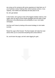are crying out for someone with some experience to help them out. If your business is about helping other online business owners, in any capacity, viral mailers are absolutely the best place to be.

So, let's get started.

In this Guide, we're going to look at the biggest mistake made by viral mailer users as well as some simple strategies that will make a huge difference to the effectiveness and profitability of your viral mailer campaigns.

And then we'll close by looking at the secret strategy to viral mailer success.

Resist the urge to flick forward. The final chapter will make the most sense when you've consumed everything that comes before it.

So, scroll down the page, and let's start digging for gold…

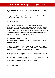## **Viral Mailer Strategy #1 – Dig For Gold**

People don't join viral mailers to read emails, they join viral mailers to make money.

No surprise then that many members pay little or no attention to the emails they receive from their fellow members.

Don't be put off by this.

Every type of online advertising, from Facebook ads, to banner advertising, to PPC, is ignored by the majority of users. It doesn't matter how many people ignore your marketing activities, it only matters how well you communicate your message to the people that do pay attention.

A certain proportion of viral mailer users DO read the emails that they receive and it's those people that we care about.

But that isn't the point of this chapter.

The point is that YOU should be making a point of reading the emails that YOU receive.

Don't worry. I'm not going to give you some touchy-feely junk about reading emails because it's the right thing to do, and how you can hardly expect others to read your emails if you don't read theirs.

Those things are true but they're still not the reason why you should be paying attention to the emails you receive.

You see, what most people fail to recognise is that the glut of emails they receive every day is really a daily dose of free market research that is loaded with gold nuggets, just waiting to be discovered.

Don't scoff. Consider…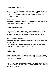#### **Discover Killer Subject Lines**

Scan your eyes down the list of emails and, when a subject line jumps out at you, pull it out to investigate it in more detail. If the subject line stood out from the crowd there must be something about it that is working really, really well.

Study it. Learn from it.

And then copy the subject line into a swipe file that you can refer to when you're writing subject lines for your own emails.

#### **Discover Great Email Copy**

If the subject line of an email is good, read the content as well. If the email text successfully compels you to click on the link you can also put this one in the category of "something that appears to be working."

Again, study it. Learn from it.

And then put the email copy into a swipe file to give you ideas for your own email copy.

Notice I said "ideas". Don't even think about stealing other people's emails and using them verbatim, you lazy cretin.

#### **Find the Gaps**

You've probably noticed the trend that develops when a new, popular program is launched; suddenly the mailer is flooded with messages all promoting the same thing.

Pushing what everyone else is pushing and hoping that your affiliate link is the one that gets noticed is less like a business strategy and more akin to buying a lottery ticket.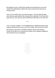By keeping an eye on what other people are promoting you can avoid wasted time attempting to feature the same products and services as everyone else.

And, if you're really smart, you'll find the gaps – the promotional ideas and business opportunities that nobody else is featuring. Find those blind spots and you can come up with something to offer that no one else has.

I am, of course, a realist. I'm not suggesting you obsessively study every single email that finds its way to you via a mailer. Who has time for that?

\*\*\*\*\*

But what you should do is schedule a little bit of time each week to review the emails you've received and obtain some valuable intelligence that will improve your campaigns.

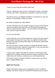There's no such thing as the perfect sales copy.

Thus far, nobody has come up with a combination of words, so perfectly contrived, that 100% of recipients are compelled to make the purchase.

The best we can do, as intelligent marketers, is to split-test our copy and attempt to incrementally increase our results.

But mailer campaigns are a little different.

You see, with sales copy, you usually only get one shot at convincing the visitor to purchase so you show them your best-performing page and hope for a result. But with mailers… you can continue to email members over a period of days and weeks.

It's not a one-shot deal.

Look at it like this. Let's say email subject line A gets a 2% open rate and email subject line B gets a 4% open rate. You might think that the best thing to do is to keep sending email subject line B because it gets double the response of A.

But here's the thing. A certain proportion of people will NEVER respond to subject line B but WILL respond to subject line A. If you only ever send B, you're missing a chunk of your audience.

In other words, subject line B might be a winner, but that doesn't mean subject line A is useless. What you should be doing is using BOTH email subject lines and, therefore, maximising your overall response rate.

This doesn't mean you shouldn't split-test; it simply means you have to test in a slightly different way.

#### **Split-Test Formula**

Please note that this system is just a suggestion and isn't a definitive strategy. Feel free to modify the numbers and frequencies as you see fit.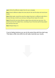**Step 1:** Write five different subject lines for your campaign.

**Step 2:** Send a different subject line every day for the next five days and record your results.

**Step 3:** Next week, resend the same five subject lines but in a different order (this is because the day on which you send your mailing will also impact the result).

**Step 4:** Discard the two least effective subject lines and write two new ones. You should now have five subject lines, consisting of your three best-performing subject lines and two new ones.

**Step 5:** Repeat Steps 2-5.

If you're feeling hardcore you can do the same thing with the email copy. That takes a little more effort but will really maximise your results.

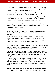## **Viral Mailer Strategy #3 – Kidnap Members**

A mailer is never a substitute for owning your own private mailing list because the one thing a mailer can never provide is the opportunity for you to develop a relationship with your readers.

If a mailer member reads one of your emails, the chances of getting a second email in front of them are depressingly random.

But, if you have subscribers on your private mailing list, you have the opportunity to develop a connection with them that will increase your email open rates and drastically increase your click-throughs.

It's no exaggeration to say that a warm mailing list can provide you with an email open rate that is hundreds of times greater than that which you can achieve through a mailer.

Which is why your primary goal in using mailers, above all else, is to attract the attention of the members and coax them onto your private mailing list.

I really cannot overstate the value of being able to email the same people, on a consistent basis. By sharing your expertise with your audience and combining this with a healthy dose of personality, you can create a loyal audience that hangs on your every word.

How do you get mailer members to make the transition onto your mailing list? The obvious way is to send promotions, via the mailer, that direct people to your lead-capturing squeeze pages.

Yes, I appreciate that your business might be of the affiliate marketing variety and you may be accustomed to simply directing readers to other people's sales pages. But that's no excuse for not building your own mailing list.

If you send a prospect directly to an affiliate page that person may or may not make the purchase. But if you get that prospect onto your mailing list FIRST, you have multiple opportunities to convert that prospect into a customer by sending them other related offers in the future.

The fact is that, to a greater or lesser degree, most mailing list owners still engage in affiliate activity. Whatever business model you've chosen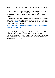to pursue, a mailing list is still a valuable asset to have at your disposal.

If you don't have your own products that you can give away via a leadcapture system you need to put a little effort into creating something worthwhile. But it doesn't have to be as onerous a task as you might imagine.

A "private label rights" report, reworked and polished, behind a squeeze page you've paid someone peanuts to create on fiverr.com, powered by the cheapest [Trafficwave](https://zoransimovic.com/trafficwave/) account, is a quick and inexpensive way to get a lead-capture system in place.

[You can even rebrand this exact same guide you are currently reading](https://warriorplus.com/o2/a/wqjfz/0/guide)  [right now by clicking here.](https://warriorplus.com/o2/a/wqjfz/0/guide)

To put it bluntly, if you're using a mailer to simply send people to affiliate pages, your business is never going to grow beyond a certain point. Gradually and steadily transferring people from your mailer promotions to your own private mailing list is an investment in the future of a business for which the sky's the limit.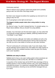#### Controversy warning!

What I'm about to say is going to upset some people and is probably going to earn me more than a few angry emails.

But that's never stopped me before from speaking my mind and it's not going to stop me now.

So I'm just going to come right out and say it...

#### **The biggest mistake people make when using mailers is using safelists.**

No, that isn't a typo. You didn't misread that line. I'm actually saying, in a Report about safelists, that you shouldn't be using safelists.

Actually, if you look back over the last dozen pages, you may notice that I've studiously avoided referring to safelists, preferring instead the term "Viral Mailer" or just "Mailer".

And that's because, although viral mailers and safelists are built on the same idea, they're FAR from being equal in terms of the success they can offer you and in their ability to connect you with other members.

This isn't controversy for controversy's sake. If you look closely, there are two glaringly obvious reasons why viral mailers are vastly superior to safelists, and why this outdated business model has given the industry such a poor reputation.

#### **Safelists are easy to abuse.**

Safelists tend to have a very open mailing system where everybody can email everybody as often as they like, with little or no restriction.

A proportion of the member base will ALWAYS take advantage of this by emailing dozens or even hundreds of times a day, even using software to automate the process. It's a spammer's paradise filled with hideous MLM and bizop promotions, drowning out any worthwhile messages that you try to send.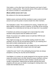*Viral mailers, on the other hand, limit the frequency and reach of each member's mailing activity. This prevents abuse of the system and keeps the volume of emails to a reasonable level.* 

#### **(Most) safelist owners don't care.**

My evidence for this damning statement?

Safelist owners commonly tell their members to open a second email account and use this purely to receive emails from other members.

The implication is clear. This is tantamount to saying, "emails from your fellow safelist members are just a nuisance, so just filter all the incoming messages into a bottomless pit and stay as far away from it as possible."

If members are actively encouraged not to read emails from other members what purpose does the safelist even have?

Simple. Its purpose is for safelist owners to build their OWN list and everyone else can rot!

They might encourage you not to bother reading emails from other members, but you can be sure that they'll insist on you receiving all of their admin emails containing their own offers.

And when the safelist crashes under the weight of its own uselessness? Just open a new safelist with a stupid name and start again.

I added the word "most" to the subheading because there are always exceptions, but they are very few and far between.

Viral Mailers, by contrast, are usually designed for the long-term and this means the owners have to do their utmost to ensure members continue to receive and read emails from other members. Double opt-ins are usually a requirement, mailing limits are strictly enforced and some programs will even give out credits in exchange for clicking links in the emails that members send out.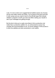Look, I'm not so naïve as to suggest that all safelist owners are chumps and all viral mailer owners are saints. You're going to find good and bad in both camps and you need to look for the tell-tale signs that indicate whether a program is worth your time and effort, testing your results to see if your messages are getting through.

But the fact is that you're vastly more likely to find a productive viral mailer than a productive safelist. So, as controversial as some may consider this recommendation to be, my fourth strategy of VM success is to ditch the safelists and stick exclusively to viral mailers.

\*\*\*\*\*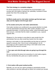#### **This final strategy is a complete endgame.**

It's not for everyone but, if you embrace this recommendation, your success with viral mailers is going to be, potentially, hundreds of times greater than that of the average user.

Consider…

#### **Q) Which emails sent to viral mailer members get the best open rates and the highest click-through rates?**

#### **A) The emails sent by the viral mailer administrator.**

Viral mailer members are conditioned to pay special attention to emails from the administrator because they often contain valuable or even essential information. It could be bonus credits, critical information about their account, a reminder that the mailer is available to use, a special upgrade offer…

Whatever it is, the member is more likely to open emails from the administrator than any other email they receive from the mailer.

Owning a viral mailer is a big responsibility and the idea isn't going to appeal to everyone. But, if you're even contemplating it, let me encourage you with 5 reasons why being a viral mailer owner is the biggest and best secret to success.

#### **1. Your open and click-through rates are going to go through the roof.**

We just mentioned this above but ownership of a viral mailer program, like any membership site, gives you a captive audience.

#### **2. Viral mailers offer great residual profits.**

Naturally, you can use your admin privileges to periodically promote other products or services (although be careful not to abuse your access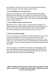and irritate your members), but income from upgraded memberships alone can provide a very tidy, regular monthly income.

#### **3. You're building your own private list.**

Remember viral mailer secret #3? Instead of wrestling with landing pages and autoresponders, and spending hours labouring over email copy writing, your viral mailer program takes care of all the heavy lifting for you. Every member that joins your viral mailer is automatically added to your private mailing list.

#### **4. Your members help you build your list.**

Remember, this is a VIRAL mailer, so called because members are offered credit-based and financial incentives to encourage others to join your site. The more members that join the mailer, the more affiliates you'll have promoting your site and helping you to build your list.

#### **5. Virtual real estate leverage.**

If you've ever read any of my reports, articles, blog posts or forum posts about membership sites you'll know why I recommend this online business model above just about anything else you can think of. A viral mailer, by its very function, is a form of membership site and that means you're going to have a number of pages on your site that experience very high traffic.

Your log-in page, your members home page, your mailing page, even your "forgot password" page are going to become high traffic pages on which you can either place carefully selected offers of your own, or do deals with other site owners to swap advertising.

**"What's lacking in this industry is not the skill to get traffic. It's the skill to convert we're lacking. The skill to build a relationship based on pure value transaction."**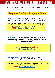RECOMMENDED FREE Traffic Programs

Get Instant Access To **\$1,537.99** In FREE Advertising Now.

# **Register For Each Program Below**

**[My Instant List Builder](http://myinstantlistbuilder.com/index.php?r=simkesrb)** My Instant List Builder allows you to Build Your LIST and tap into unlimited FREE traffic Simultaneously.

Claim **\$200.00 in FREE Advertising**. Login to your account and click on the "**Setup Ads**" tab and insert this promo-code: **welcome2milb** to claim your free advertising, will be added instantly.

### **[Register Here Now](http://myinstantlistbuilder.com/index.php?r=simkesrb)**

## **[1 Profit Ring](https://zoransimovic.com/1profitring)** - **Get Webring Advertising, Safelist Advertising, Banner Advertising and a PROVEN Money Maker!**

## **Use Promo Code: SlamPow [Register Here Now](https://zoransimovic.com/1profitring)**

**[No Marketer Left Behind](http://nomarketerleftbehind.com/index.php?r=simkesrb)** No Marketer Left Behind Responsive Advertising For All. Free I.M. Gifts & Advertising.

Claim **\$240.00 in FREE Advertising**. Login to your account and click on the **"Setup Ads"** tab and insert this promo-code: **responsive** to claim your free advertising, will be added instantly.

**[Register Here Now](http://nomarketerleftbehind.com/index.php?r=simkesrb)**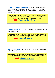**[Thank You Page Connection](http://typageconnection.com/index.php?r=simkesrb)** Thank You Page Connection allows you to tap into unlimited traffic from 1000's of Thank You Pages. Advertise your business for free across a huge network of thousands of sites !

Claim **\$43.00 in FREE Advertising**. Login to your account and click on the "**Setup Ads**" tab and insert this promo-code: **APC2X2** to claim your free advertising, will be added instantly.

#### **[Register Here Now](http://typageconnection.com/index.php?r=simkesrb)**

**[Endless Ad Network](http://endlessadnetwork.com/index.php?r=simkesrb)** Endless Ad Network get real traffic for life - ads never expire.



**[Instant Ads 4 Me](http://instantads4.me/index.php?r=simkesrb)** Instant Ads 4 Me No Clicking For Credits. Get real traffic for life - ads never expire.

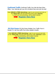**[Confirmed Traffic](http://confirmedtraffic.com/index.php?r=simkesrb)** Confirmed Traffic Your Ads Get Seen More Often. Your referrals join your list 1st before they even join the site!

Claim **\$200.00 in FREE Advertising**. Login to your account and click on the **"Setup Ads"** tab and insert this promo-code: **welcome** to claim your free advertising, will be added instantly.

## **[Register Here Now](http://confirmedtraffic.com/index.php?r=simkesrb)**

**[PS Click Power](http://psclickpower.com/index.php?r=simkesrb)** PS Click Power Multiply Your Traffic From A Simple P.S. Get free traffic from other people's emails!.

Claim **\$220.00 in FREE Advertising**. Login to your account and click on the **"Setup Ads"** tab and insert this promo-code: **welcome** to claim your free advertising, will be added instantly. **[Register Here Now](http://psclickpower.com/index.php?r=simkesrb)**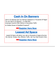# **[Cash In On Banners](http://cashinonbanners.com/?r=51089)**

Cash In On Banners Get Your Banners Displayed on Thousands Of Pages! You can Cash In On Banners - in a Big Way! Amazingly Powerful FREE Method of Generating Traffic!

An Endless Stream of Qualified Prospects!

**[Register Here Now](http://cashinonbanners.com/?r=51089)** 

# **[Leased Ad Space](http://www.leasedadspace.com/?aid=simkesrb)**

Leased Ad Space will deliver your ads on thousands of pages all across the internet. Simple, Fast, Effective Traffic. Get Your Real Human's Here.

**[Register Here Now](http://www.leasedadspace.com/?aid=simkesrb)**